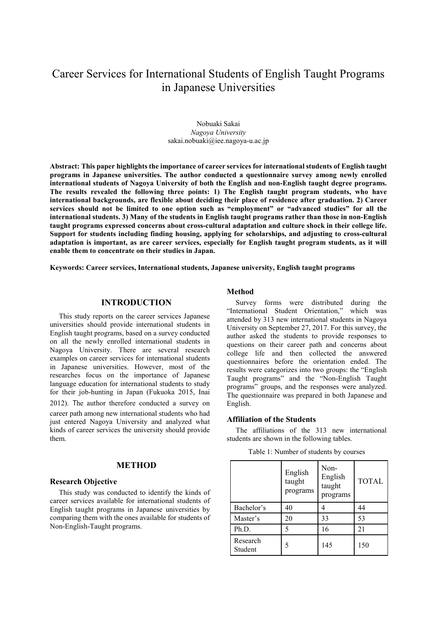# Career Services for International Students of English Taught Programs in Japanese Universities

Nobuaki Sakai *Nagoya University* sakai.nobuaki@iee.nagoya-u.ac.jp

**Abstract: This paper highlights the importance of career services for international students of English taught programs in Japanese universities. The author conducted a questionnaire survey among newly enrolled international students of Nagoya University of both the English and non-English taught degree programs. The results revealed the following three points: 1) The English taught program students, who have international backgrounds, are flexible about deciding their place of residence after graduation. 2) Career services should not be limited to one option such as "employment" or "advanced studies" for all the international students. 3) Many of the students in English taught programs rather than those in non-English taught programs expressed concerns about cross-cultural adaptation and culture shock in their college life. Support for students including finding housing, applying for scholarships, and adjusting to cross-cultural adaptation is important, as are career services, especially for English taught program students, as it will enable them to concentrate on their studies in Japan.** 

**Keywords: Career services, International students, Japanese university, English taught programs** 

## **INTRODUCTION**

This study reports on the career services Japanese universities should provide international students in English taught programs, based on a survey conducted on all the newly enrolled international students in Nagoya University. There are several research examples on career services for international students in Japanese universities. However, most of the researches focus on the importance of Japanese language education for international students to study for their job-hunting in Japan (Fukuoka 2015, Inai 2012). The author therefore conducted a survey on career path among new international students who had just entered Nagoya University and analyzed what kinds of career services the university should provide them.

#### **METHOD**

#### **Research Objective**

This study was conducted to identify the kinds of career services available for international students of English taught programs in Japanese universities by comparing them with the ones available for students of Non-English-Taught programs.

## **Method**

Survey forms were distributed during the "International Student Orientation," which was attended by 313 new international students in Nagoya University on September 27, 2017. For this survey, the author asked the students to provide responses to questions on their career path and concerns about college life and then collected the answered questionnaires before the orientation ended. The results were categorizes into two groups: the "English Taught programs" and the "Non-English Taught programs" groups, and the responses were analyzed. The questionnaire was prepared in both Japanese and English.

#### **Affiliation of the Students**

The affiliations of the 313 new international students are shown in the following tables.

| Table 1: Number of students by courses |  |
|----------------------------------------|--|
|                                        |  |

|                     | English<br>taught<br>programs | Non-<br>English<br>taught<br>programs | <b>TOTAL</b> |
|---------------------|-------------------------------|---------------------------------------|--------------|
| Bachelor's          | 40                            |                                       | 44           |
| Master's            | 20                            | 33                                    | 53           |
| Ph.D.               | 5                             | 16                                    | 21           |
| Research<br>Student | 5                             | 145                                   | 150          |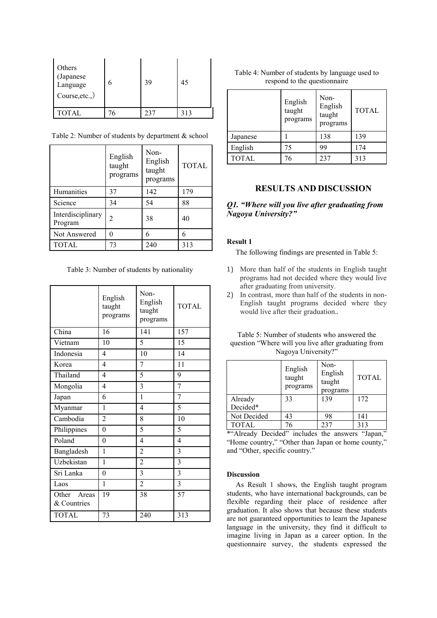| Others<br>(Japanese<br>Language<br>Course, etc.,) |    | 39  | 45  |
|---------------------------------------------------|----|-----|-----|
| <b>TOTAL</b>                                      | 76 | 237 | 313 |

Table 2: Number of students by department & school

|                              | English<br>taught<br>programs | Non-<br>English<br>taught<br>programs | <b>TOTAL</b> |
|------------------------------|-------------------------------|---------------------------------------|--------------|
| Humanities                   | 37                            | 142                                   | 179          |
| Science                      | 34                            | 54                                    | 88           |
| Interdisciplinary<br>Program | 2                             | 38                                    | 40           |
| Not Answered                 | 0                             |                                       | 6            |
| <b>TOTAL</b>                 | 73                            | 240                                   | 313          |

Table 3: Number of students by nationality

|                            | English<br>taught<br>programs | Non-<br>English<br>taught<br>programs | <b>TOTAL</b>            |
|----------------------------|-------------------------------|---------------------------------------|-------------------------|
| China                      | 16                            | 141                                   | 157                     |
| Vietnam                    | 10                            | 5                                     | 15                      |
| Indonesia                  | 4                             | 10                                    | 14                      |
| Korea                      | 4                             | 7                                     | 11                      |
| Thailand                   | 4                             | 5                                     | 9                       |
| Mongolia                   | 4                             | 3                                     | $\overline{7}$          |
| Japan                      | 6                             | 1                                     | $\overline{7}$          |
| Myanmar                    | 1                             | 4                                     | 5                       |
| Cambodia                   | $\overline{2}$                | 8                                     | 10                      |
| Philippines                | $\theta$                      | 5                                     | 5                       |
| Poland                     | $\theta$                      | $\overline{\mathcal{L}}$              | 4                       |
| Bangladesh                 | 1                             | $\overline{c}$                        | 3                       |
| Uzbekistan                 | $\mathbf{1}$                  | $\overline{2}$                        | $\overline{\mathbf{3}}$ |
| Sri Lanka                  | $\theta$                      | 3                                     | 3                       |
| Laos                       | 1                             | $\overline{c}$                        | 3                       |
| Other Areas<br>& Countries | 19                            | 38                                    | 57                      |
| <b>TOTAL</b>               | 73                            | 240                                   | 313                     |

Table 4: Number of students by language used to respond to the questionnaire

|              | English<br>taught<br>programs | Non-<br>English<br>taught<br>programs | <b>TOTAL</b> |
|--------------|-------------------------------|---------------------------------------|--------------|
| Japanese     |                               | 138                                   | 139          |
| English      | 75                            | 99                                    | 174          |
| <b>TOTAL</b> | 76                            | 237                                   | 313          |

# **RESULTS AND DISCUSSION**

# *Q1. "Where will you live after graduating from Nagoya University?"*

#### **Result 1**

The following findings are presented in Table 5:

- 1) More than half of the students in English taught programs had not decided where they would live after graduating from university.
- 2) In contrast, more than half of the students in non-English taught programs decided where they would live after their graduation..

| Table 5: Number of students who answered the        |
|-----------------------------------------------------|
| question "Where will you live after graduating from |
| Nagoya University?"                                 |

|              | English<br>taught<br>programs | Non-<br>English<br>taught<br>programs | <b>TOTAL</b> |
|--------------|-------------------------------|---------------------------------------|--------------|
| Already      | 33                            | 139                                   | 172          |
| Decided*     |                               |                                       |              |
| Not Decided  | 43                            | 98                                    | 141          |
| <b>TOTAL</b> | 76                            | 237                                   | 313          |

\*"Already Decided" includes the answers "Japan," "Home country," "Other than Japan or home county," and "Other, specific country."

## **Discussion**

As Result 1 shows, the English taught program students, who have international backgrounds, can be flexible regarding their place of residence after graduation. It also shows that because these students are not guaranteed opportunities to learn the Japanese language in the university, they find it difficult to imagine living in Japan as a career option. In the questionnaire survey, the students expressed the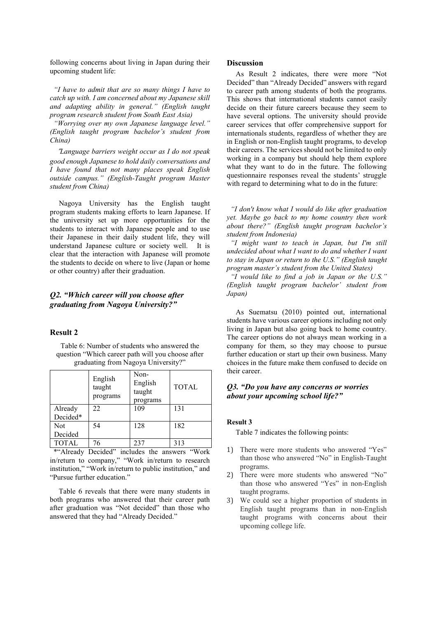following concerns about living in Japan during their upcoming student life:

*"I have to admit that are so many things I have to catch up with. I am concerned about my Japanese skill and adapting ability in general." (English taught program research student from South East Asia)* 

*"Worrying over my own Japanese language level." (English taught program bachelor's student from China)* 

"*Language barriers weight occur as I do not speak good enough Japanese to hold daily conversations and I have found that not many places speak English outside campus." (English-Taught program Master student from China)* 

Nagoya University has the English taught program students making efforts to learn Japanese. If the university set up more opportunities for the students to interact with Japanese people and to use their Japanese in their daily student life, they will understand Japanese culture or society well. It is clear that the interaction with Japanese will promote the students to decide on where to live (Japan or home or other country) after their graduation.

## *Q2. "Which career will you choose after graduating from Nagoya University?"*

## **Result 2**

Table 6: Number of students who answered the question "Which career path will you choose after graduating from Nagoya University?"

|                                                     | English<br>taught<br>programs | Non-<br>English<br>taught<br>programs | <b>TOTAL</b> |
|-----------------------------------------------------|-------------------------------|---------------------------------------|--------------|
| Already                                             | 22                            | 109                                   | 131          |
| Decided*                                            |                               |                                       |              |
| Not                                                 | 54                            | 128                                   | 182          |
| Decided                                             |                               |                                       |              |
| <b>TOTAL</b>                                        | 76                            | 237                                   | 313          |
| $\mathbf{a}$ , and a set of the set of $\mathbf{a}$ | .<br>$\sim$                   | . .                                   |              |

\*"Already Decided" includes the answers "Work in/return to company," "Work in/return to research institution," "Work in/return to public institution," and "Pursue further education."

Table 6 reveals that there were many students in both programs who answered that their career path after graduation was "Not decided" than those who answered that they had "Already Decided."

#### **Discussion**

As Result 2 indicates, there were more "Not Decided" than "Already Decided" answers with regard to career path among students of both the programs. This shows that international students cannot easily decide on their future careers because they seem to have several options. The university should provide career services that offer comprehensive support for internationals students, regardless of whether they are in English or non-English taught programs, to develop their careers. The services should not be limited to only working in a company but should help them explore what they want to do in the future. The following questionnaire responses reveal the students' struggle with regard to determining what to do in the future:

*"I don't know what I would do like after graduation yet. Maybe go back to my home country then work about there?" (English taught program bachelor's student from Indonesia)* 

*"I might want to teach in Japan, but I'm still undecided about what I want to do and whether I want to stay in Japan or return to the U.S." (English taught program master's student from the United States)* 

*"I would like to find a job in Japan or the U.S." (English taught program bachelor' student from Japan)*

As Suematsu (2010) pointed out, international students have various career options including not only living in Japan but also going back to home country. The career options do not always mean working in a company for them, so they may choose to pursue further education or start up their own business. Many choices in the future make them confused to decide on their career.

#### *Q3. "Do you have any concerns or worries about your upcoming school life?"*

#### **Result 3**

Table 7 indicates the following points:

- 1) There were more students who answered "Yes" than those who answered "No" in English-Taught programs.
- 2) There were more students who answered "No" than those who answered "Yes" in non-English taught programs.
- 3) We could see a higher proportion of students in English taught programs than in non-English taught programs with concerns about their upcoming college life.